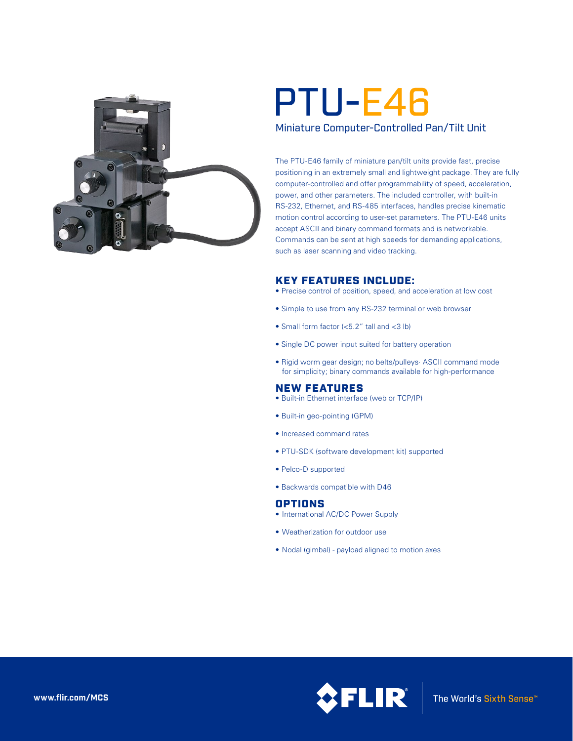

# Miniature Computer-Controlled Pan/Tilt Unit PTU-E46

The PTU-E46 family of miniature pan/tilt units provide fast, precise positioning in an extremely small and lightweight package. They are fully computer-controlled and offer programmability of speed, acceleration, power, and other parameters. The included controller, with built-in RS-232, Ethernet, and RS-485 interfaces, handles precise kinematic motion control according to user-set parameters. The PTU-E46 units accept ASCII and binary command formats and is networkable. Commands can be sent at high speeds for demanding applications, such as laser scanning and video tracking.

## KEY FEATURES INCLUDE:

- Precise control of position, speed, and acceleration at low cost
- Simple to use from any RS-232 terminal or web browser
- Small form factor (<5.2" tall and <3 lb)
- Single DC power input suited for battery operation
- Rigid worm gear design; no belts/pulleys· ASCII command mode for simplicity; binary commands available for high-performance

## NEW FEATURES

- Built-in Ethernet interface (web or TCP/IP)
- Built-in geo-pointing (GPM)
- Increased command rates
- PTU-SDK (software development kit) supported
- Pelco-D supported
- Backwards compatible with D46

## **OPTIONS**

- International AC/DC Power Supply
- Weatherization for outdoor use
- Nodal (gimbal) payload aligned to motion axes